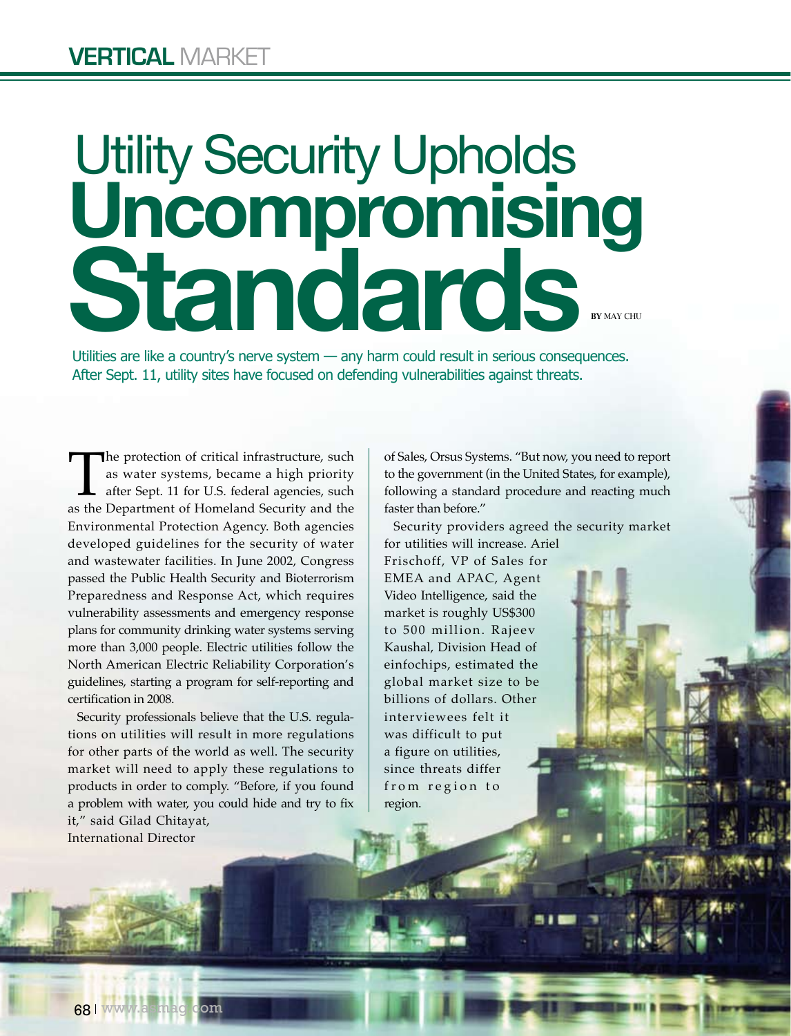# **Standards** Utility Security Upholds **Uncompromising**  By May Chu

Utilities are like a country's nerve system — any harm could result in serious consequences. After Sept. 11, utility sites have focused on defending vulnerabilities against threats.

region.

The protection of critical infrastructure, such as water systems, became a high priority after Sept. 11 for U.S. federal agencies, such as the Department of Homeland Security and the as water systems, became a high priority after Sept. 11 for U.S. federal agencies, such Environmental Protection Agency. Both agencies developed guidelines for the security of water and wastewater facilities. In June 2002, Congress passed the Public Health Security and Bioterrorism Preparedness and Response Act, which requires vulnerability assessments and emergency response plans for community drinking water systems serving more than 3,000 people. Electric utilities follow the North American Electric Reliability Corporation's guidelines, starting a program for self-reporting and certification in 2008.

Security professionals believe that the U.S. regulations on utilities will result in more regulations for other parts of the world as well. The security market will need to apply these regulations to products in order to comply. "Before, if you found a problem with water, you could hide and try to fix it," said Gilad Chitayat,

International Director

of Sales, Orsus Systems. "But now, you need to report to the government (in the United States, for example), following a standard procedure and reacting much faster than before."

Security providers agreed the security market for utilities will increase. Ariel Frischoff, VP of Sales for EMEA and APAC, Agent Video Intelligence, said the market is roughly US\$300 to 500 million. Rajeev Kaushal, Division Head of einfochips, estimated the global market size to be billions of dollars. Other interviewees felt it was difficult to put a figure on utilities, since threats differ from region to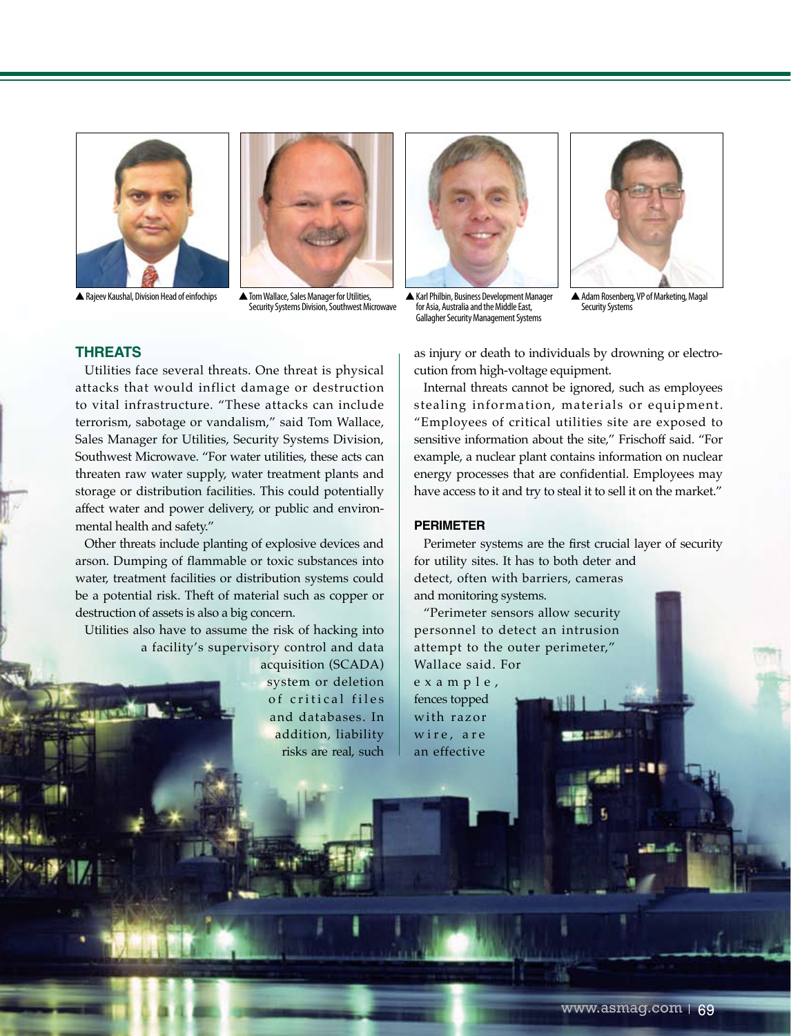



▲ Rajeev Kaushal, Division Head of einfochips △ Tom Wallace, Sales Manager for Utilities Security Systems Division, Southwest Microwave





▲Karl Philbin, Business Development Manager for Asia, Australia and the Middle East, Gallagher Security Management Systems

▲Adam Rosenberg, VP of Marketing, Magal Security Systems

### **Threats**

Utilities face several threats. One threat is physical attacks that would inflict damage or destruction to vital infrastructure. "These attacks can include terrorism, sabotage or vandalism," said Tom Wallace, Sales Manager for Utilities, Security Systems Division, Southwest Microwave. "For water utilities, these acts can threaten raw water supply, water treatment plants and storage or distribution facilities. This could potentially affect water and power delivery, or public and environmental health and safety."

Other threats include planting of explosive devices and arson. Dumping of flammable or toxic substances into water, treatment facilities or distribution systems could be a potential risk. Theft of material such as copper or destruction of assets is also a big concern.

Utilities also have to assume the risk of hacking into a facility's supervisory control and data

> acquisition (SCADA) system or deletion of critical files and databases. In addition, liability risks are real, such

as injury or death to individuals by drowning or electrocution from high-voltage equipment.

Internal threats cannot be ignored, such as employees stealing information, materials or equipment. "Employees of critical utilities site are exposed to sensitive information about the site," Frischoff said. "For example, a nuclear plant contains information on nuclear energy processes that are confidential. Employees may have access to it and try to steal it to sell it on the market."

#### **Perimeter**

Perimeter systems are the first crucial layer of security for utility sites. It has to both deter and detect, often with barriers, cameras and monitoring systems.

"Perimeter sensors allow security personnel to detect an intrusion attempt to the outer perimeter," Wallace said. For e x a m p l e ,

fences topped with razor wire, are an effective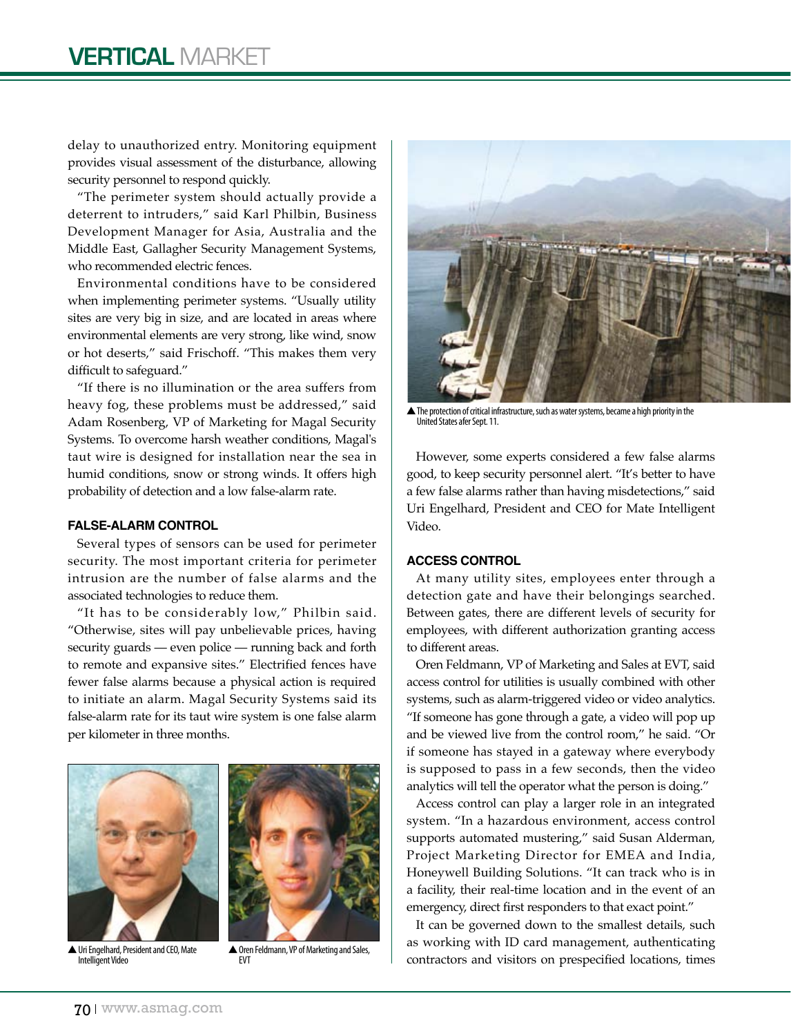delay to unauthorized entry. Monitoring equipment provides visual assessment of the disturbance, allowing security personnel to respond quickly.

"The perimeter system should actually provide a deterrent to intruders," said Karl Philbin, Business Development Manager for Asia, Australia and the Middle East, Gallagher Security Management Systems, who recommended electric fences.

Environmental conditions have to be considered when implementing perimeter systems. "Usually utility sites are very big in size, and are located in areas where environmental elements are very strong, like wind, snow or hot deserts," said Frischoff. "This makes them very difficult to safeguard."

"If there is no illumination or the area suffers from heavy fog, these problems must be addressed," said Adam Rosenberg, VP of Marketing for Magal Security Systems. To overcome harsh weather conditions, Magal's taut wire is designed for installation near the sea in humid conditions, snow or strong winds. It offers high probability of detection and a low false-alarm rate.

#### **False-Alarm Control**

Several types of sensors can be used for perimeter security. The most important criteria for perimeter intrusion are the number of false alarms and the associated technologies to reduce them.

"It has to be considerably low," Philbin said. "Otherwise, sites will pay unbelievable prices, having security guards — even police — running back and forth to remote and expansive sites." Electrified fences have fewer false alarms because a physical action is required to initiate an alarm. Magal Security Systems said its false-alarm rate for its taut wire system is one false alarm per kilometer in three months.



▲Uri Engelhard, President and CEO, Mate Intelligent Video



▲ Oren Feldmann, VP of Marketing and Sales, EVT



▲The protection of critical infrastructure, such as water systems, became a high priority in the United States afer Sept. 11.

However, some experts considered a few false alarms good, to keep security personnel alert. "It's better to have a few false alarms rather than having misdetections," said Uri Engelhard, President and CEO for Mate Intelligent Video.

#### **Access Control**

At many utility sites, employees enter through a detection gate and have their belongings searched. Between gates, there are different levels of security for employees, with different authorization granting access to different areas.

Oren Feldmann, VP of Marketing and Sales at EVT, said access control for utilities is usually combined with other systems, such as alarm-triggered video or video analytics. "If someone has gone through a gate, a video will pop up and be viewed live from the control room," he said. "Or if someone has stayed in a gateway where everybody is supposed to pass in a few seconds, then the video analytics will tell the operator what the person is doing."

Access control can play a larger role in an integrated system. "In a hazardous environment, access control supports automated mustering," said Susan Alderman, Project Marketing Director for EMEA and India, Honeywell Building Solutions. "It can track who is in a facility, their real-time location and in the event of an emergency, direct first responders to that exact point."

It can be governed down to the smallest details, such as working with ID card management, authenticating contractors and visitors on prespecified locations, times